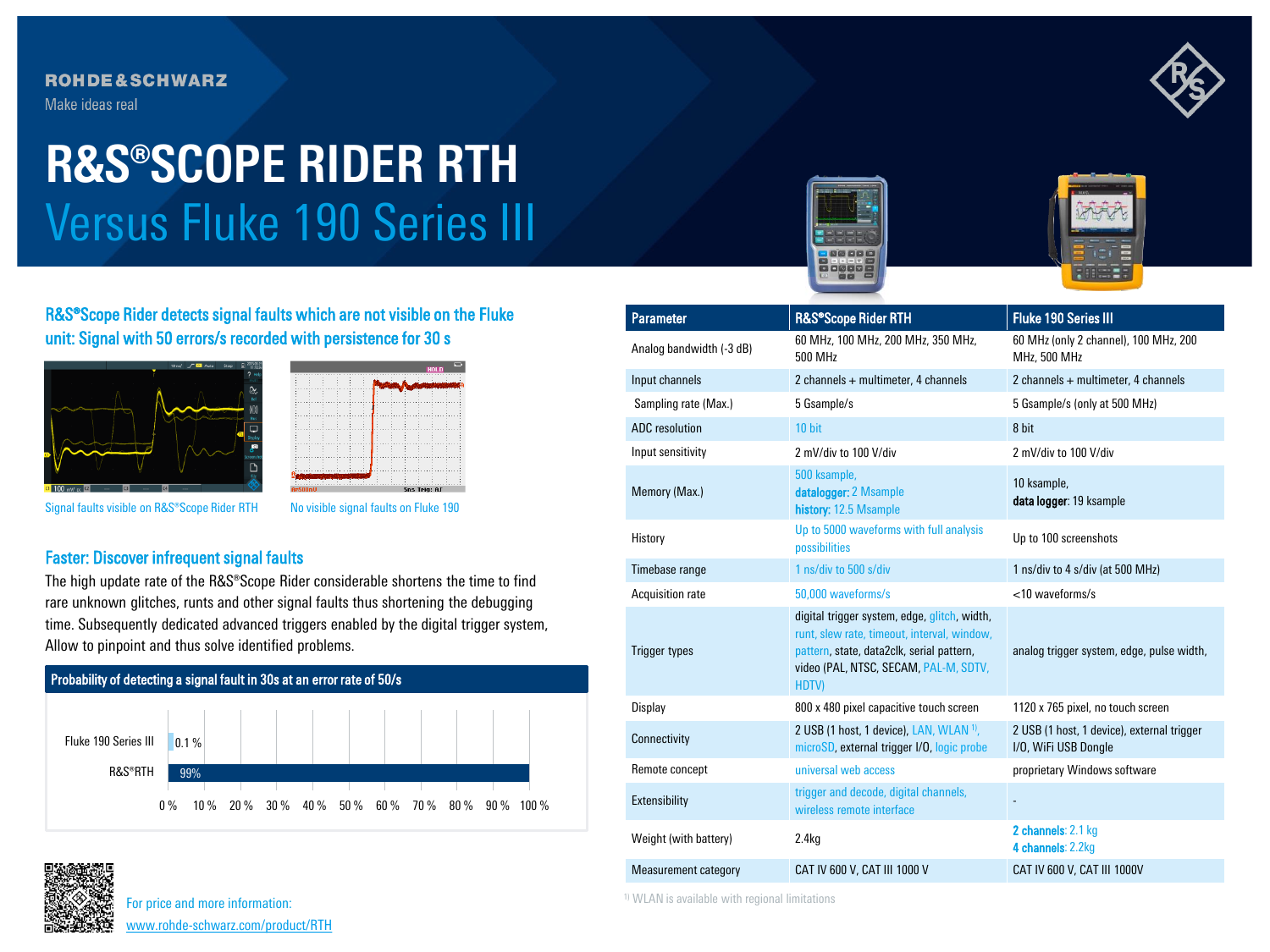# **ROHDE&SCHWARZ**

Make ideas real

# Versus Fluke 190 Series III **R&S®SCOPE RIDER RTH**







R&S®Scope Rider detects signal faults which are not visible on the Fluke unit: Signal with 50 errors/s recorded with persistence for 30 s





Signal faults visible on R&S®Scope Rider RTH No visible signal faults on Fluke 190

### Faster: Discover infrequent signal faults

The high update rate of the R&S®Scope Rider considerable shortens the time to find rare unknown glitches, runts and other signal faults thus shortening the debugging time. Subsequently dedicated advanced triggers enabled by the digital trigger system, Allow to pinpoint and thus solve identified problems.





| <b>Parameter</b>         | R&S®Scope Rider RTH                                                                                                                                                                               | <b>Fluke 190 Series III</b>                                        |  |
|--------------------------|---------------------------------------------------------------------------------------------------------------------------------------------------------------------------------------------------|--------------------------------------------------------------------|--|
| Analog bandwidth (-3 dB) | 60 MHz, 100 MHz, 200 MHz, 350 MHz,<br>500 MHz                                                                                                                                                     | 60 MHz (only 2 channel), 100 MHz, 200<br>MHz, 500 MHz              |  |
| Input channels           | 2 channels + multimeter, 4 channels                                                                                                                                                               | 2 channels + multimeter, 4 channels                                |  |
| Sampling rate (Max.)     | 5 Gsample/s                                                                                                                                                                                       | 5 Gsample/s (only at 500 MHz)                                      |  |
| <b>ADC</b> resolution    | 10 bit                                                                                                                                                                                            | 8 bit                                                              |  |
| Input sensitivity        | 2 mV/div to 100 V/div                                                                                                                                                                             | 2 mV/div to 100 V/div                                              |  |
| Memory (Max.)            | 500 ksample,<br>datalogger: 2 Msample<br>history: 12.5 Msample                                                                                                                                    | 10 ksample,<br>data logger: 19 ksample                             |  |
| History                  | Up to 5000 waveforms with full analysis<br>possibilities                                                                                                                                          | Up to 100 screenshots                                              |  |
| Timebase range           | 1 ns/div to 500 s/div                                                                                                                                                                             | 1 ns/div to 4 s/div (at 500 MHz)                                   |  |
| Acquisition rate         | 50,000 waveforms/s                                                                                                                                                                                | $<$ 10 waveforms/s                                                 |  |
| <b>Trigger types</b>     | digital trigger system, edge, glitch, width,<br>runt, slew rate, timeout, interval, window,<br>pattern, state, data2clk, serial pattern,<br>video (PAL, NTSC, SECAM, PAL-M, SDTV,<br><b>HDTV)</b> | analog trigger system, edge, pulse width,                          |  |
| <b>Display</b>           | 800 x 480 pixel capacitive touch screen                                                                                                                                                           | 1120 x 765 pixel, no touch screen                                  |  |
| Connectivity             | 2 USB (1 host, 1 device), LAN, WLAN 1),<br>microSD, external trigger I/O, logic probe                                                                                                             | 2 USB (1 host, 1 device), external trigger<br>I/O, WiFi USB Dongle |  |
| Remote concept           | universal web access                                                                                                                                                                              | proprietary Windows software                                       |  |
| Extensibility            | trigger and decode, digital channels,<br>wireless remote interface                                                                                                                                |                                                                    |  |
| Weight (with battery)    | 2.4 <sub>kq</sub>                                                                                                                                                                                 | 2 channels: 2.1 kg<br>4 channels: 2.2kg                            |  |
| Measurement category     | CAT IV 600 V, CAT III 1000 V                                                                                                                                                                      | CAT IV 600 V, CAT III 1000V                                        |  |

1) WLAN is available with regional limitations